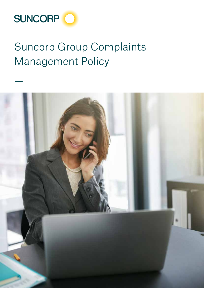

# Suncorp Group Complaints Management Policy

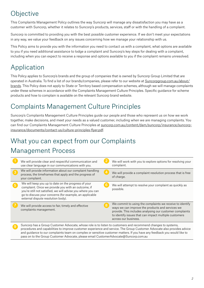## **Objective**

This Complaints Management Policy outlines the way Suncorp will manage any dissatisfaction you may have as a customer with Suncorp, whether it relates to Suncorp's products, services, staff or with the handling of a complaint.

Suncorp is committed to providing you with the best possible customer experience. If we don't meet your expectations in any way, we value your feedback on any issues concerning how we manage your relationship with us.

This Policy aims to provide you with the information you need to contact us with a complaint, what options are available to you if you need additional assistance to lodge a complaint and Suncorp's key steps for dealing with a complaint, including when you can expect to receive a response and options available to you if the complaint remains unresolved.

# Application

This Policy applies to Suncorp's brands and the group of companies that is owned by Suncorp Group Limited that are operated in Australia. To find a list of our brands/companies, please refer to our website at [Suncorpgroup.com.au/about/](http://www.suncorpgroup.com.au/about/brands) [brands.](http://www.suncorpgroup.com.au/about/brands) This Policy does not apply to State or Territory based compensation schemes, although we will manage complaints under these schemes in accordance with the Complaints Management Culture Principles. Specific guidance for scheme products and how to complain is available on the relevant Suncorp brand website.

## Complaints Management Culture Principles

Suncorp's Complaints Management Culture Principles guide our people and those who represent us on how we work together, make decisions, and meet your needs as a valued customer, including when we are managing complaints. You can find our Complaints Management Culture Principles at [suncorp.com.au/content/dam/suncorp/insurance/suncorp](https://www.suncorp.com.au/content/dam/suncorp/insurance/suncorp-insurance/documents/contact-us/culture-principles-flyer.pdf)[insurance/documents/contact-us/culture-principles-flyer.pdf](https://www.suncorp.com.au/content/dam/suncorp/insurance/suncorp-insurance/documents/contact-us/culture-principles-flyer.pdf).

## What you can expect from our Complaints

### Management Process

| We will provide clear and respectful communication and<br>use clear language in our communications with you.                                                                                                                                                               | We will work with you to explore options for resolving your<br>complaint.                                                                                                                                                                                 |
|----------------------------------------------------------------------------------------------------------------------------------------------------------------------------------------------------------------------------------------------------------------------------|-----------------------------------------------------------------------------------------------------------------------------------------------------------------------------------------------------------------------------------------------------------|
| We will provide information about our complaint handling<br>process, the timeframes that apply and the progress of<br>your complaint.                                                                                                                                      | We will provide a complaint resolution process that is free<br>of charge.                                                                                                                                                                                 |
| We will keep you up to date on the progress of your<br>complaint. Once we provide you with an outcome, if<br>you're still not satisfied, we will advise you where you can<br>go to discuss your concerns (for example, an applicable<br>external dispute resolution body). | We will attempt to resolve your complaint as quickly as<br>possible.                                                                                                                                                                                      |
| We will provide access to fair, timely and effective<br>complaints management.                                                                                                                                                                                             | We commit to using the complaints we receive to identify<br>ways we can improve the products and services we<br>provide. This includes analysing our customer complaints<br>to identify issues that can impact multiple customers<br>across our business. |
| Suncorp has a Group Customer Advocate, whose role is to listen to customers and recommend changes to systems,                                                                                                                                                              |                                                                                                                                                                                                                                                           |

Suncorp has a Group Customer Advocate, whose role is to listen to customers and recommend changes to systems,<br>procedures and capabilities to improve customer experience and service. The Group Customer Advocate also provide and guidance to our complaints team on complex or sensitive customer matters. If you have any feedback you would like to pass on to the Group Customer Advocate, please email [CustomerAdvocate@Suncorp.com.au](mailto:CustomerAdvocate%40Suncorp.com.au?subject=)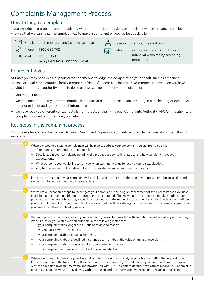### Complaints Management Process

#### How to lodge a complaint

If you experience a problem, are not satisfied with our products or services or a decision we have made, please let us know so that we can help. The simplest way to make a complaint or provide feedback is by:

|    |       | Email: customer.relations@suncorp.com.au        |         | In person: visit your nearest branch           |
|----|-------|-------------------------------------------------|---------|------------------------------------------------|
|    |       | $\sqrt{2}$ Phone: 1800 689 762                  | online: | forms available via each brand's               |
| 노막 | Mail: | IPC RE058<br>Reply Paid 1453, Brisbane Qld 4001 |         | individual websites by searching<br>complaints |
|    |       |                                                 |         |                                                |

#### Representatives

At times you may need extra support or want someone to lodge the complaint on your behalf, such as a financial counsellor, legal representative, family member or friend. Suncorp can liaise with your representative once you have provided appropriate authority for us to do so and we will not contact you directly unless:

— you request us to,

2

3

5

- we are concerned that your representative is not authorised to represent you, is acting in a misleading or deceptive manner or is not acting in your best interests, or
- we have received different contact details from the Australian Financial Complaints Authority (AFCA) in relation to a complaint lodged with them on your behalf.

#### Key steps in the complaint process

Our process for General Insurance, Banking, Wealth and Superannuation related complaints consists of the following key steps:

- When contacting us with a complaint, it will help us to address your concerns if you can provide us with: — Your name and preferred contact details.
- Details about your complaint, including the product or service it relates to and how we didn't meet your expectations.
- What outcome you would like to achieve when working with us to resolve your dissatisfaction.
- Anything else you think is relevant for us to consider when reviewing your concerns.
- In most circumstances, your complaint will be acknowledged either verbally or in writing, within 1 business day and we will aim to resolve it within 5 business days.

We will take reasonable steps to investigate your complaint, including an assessment of the circumstances you have described and obtaining additional information if it is required. This may mean an outcome can take a little longer to provide to you. Where this occurs, you will be provided with the name of a Customer Relations Specialist who will be your point of contact until your complaint is resolved, who will provide regular updates and can answer any questions you have about the complaints process.

Depending on the circumstances of your complaint you will be provided with an outcome either verbally or in writing. We will provide you with a written outcome in the following instances:

- If your complaint takes longer than 5 business days to resolve.
- If you request a written response.
- If your complaint is about financial hardship.
- If your complaint is about a declined insurance claim or about the value of an insurance claim.
- If your complaint is about a decision of a superannuation trustee.
- If your complaint outcome is not resolved to your satisfaction.

Where a written outcome is required, we will aim to provide it as quickly as possible and within the relevant time frame referred to in the table below. If we need more time to investigate and resolve your complaint, we will explain why, the expected revised timeframe and provide you with AFCA's contact details. If we cannot resolve your complaint to your satisfaction, we will provide you with the reason and the information we relied on to reach our decision.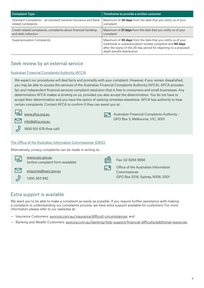| <b>Complaint Type</b>                                          | Timeframe to provide a written outcome                                                                                                                                                                                        |
|----------------------------------------------------------------|-------------------------------------------------------------------------------------------------------------------------------------------------------------------------------------------------------------------------------|
| Standard Complaints - all standard General Insurance and Bank  | Maximum of 30 days from the date that you notify us of your                                                                                                                                                                   |
| related complaints                                             | complaint                                                                                                                                                                                                                     |
| Credit-related complaints, complaints about financial hardship | Maximum of 21 days from the date that you notify us of your                                                                                                                                                                   |
| and debt collection                                            | complaint                                                                                                                                                                                                                     |
| <b>Superannuation Complaints</b>                               | Maximum of 45 days from the date that you notify us of your<br>traditional or superannuation trustee complaint and 90 days<br>after the expiry of the 28-day period for objecting to a proposed<br>death benefit distribution |

#### Seek review by an external service

#### Australian Financial Complaints Authority (AFCA)

We expect our procedures will deal fairly and promptly with your complaint. However, if you remain dissatisfied, you may be able to access the services of the Australian Financial Complaints Authority (AFCA). AFCA provides fair and independent financial services complaint resolution that is free to consumers and small businesses. Any determination AFCA makes is binding on us, provided you also accept the determination. You do not have to accept their determination and you have the option of seeking remedies elsewhere. AFCA has authority to hear certain complaints. Contact AFCA to confirm if they can assist you at:

> Australian Financial Complaints Authority -GPO Box 3, Melbourne, VIC, 3001



www.afca.org.au

info@afca.org.au

1800 931 678 (free call)

#### The Office of the Australian Information Commissioner (OAIC)

Alternatively, privacy complaints can be made in writing to:

| <u>tip</u> | www.oaic.gov.au<br>(online complaint form available) | 赠 | Fax: 02 9284 9666                                                                       |
|------------|------------------------------------------------------|---|-----------------------------------------------------------------------------------------|
|            | enquiries@oaic.gov.au<br>1300 363 992                |   | Office of the Australian Information<br>Commissioner<br>GPO Box 5218, Sydney, NSW, 2001 |

#### Extra support is available

We want you to be able to make a complaint as easily as possible. If you require further assistance with making a complaint or understanding our complaints process, we have extra support available for customers. For more information please refer to our websites at:

- Insurance Customers: [suncorp.com.au/insurance/difficult-circumstances](https://www.suncorp.com.au/insurance/difficult-circumstances.html); and
- Banking and Wealth Customers: [suncorp.com.au/banking/help-support/financial-difficulty/additional-resources](https://www.suncorp.com.au/banking/help-support/financial-difficulty/additional-resources.html).